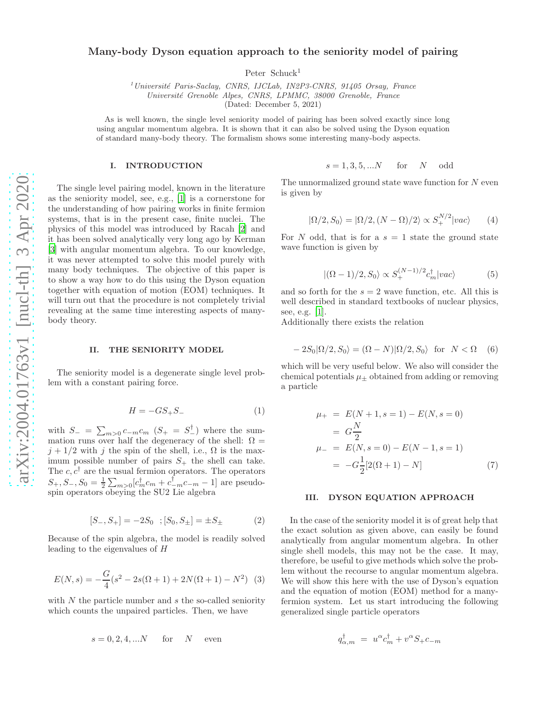# Many-body Dyson equation approach to the seniority model of pairing

Peter Schuck<sup>1</sup>

 $1$ Université Paris-Saclay, CNRS, IJCLab, IN2P3-CNRS, 91405 Orsay, France Université Grenoble Alpes, CNRS, LPMMC, 38000 Grenoble, France

(Dated: December 5, 2021)

As is well known, the single level seniority model of pairing has been solved exactly since long using angular momentum algebra. It is shown that it can also be solved using the Dyson equation of standard many-body theory. The formalism shows some interesting many-body aspects.

#### I. INTRODUCTION

The single level pairing model, known in the literature as the seniority model, see, e.g., [\[1](#page-4-0)] is a cornerstone for the understanding of how pairing works in finite fermion systems, that is in the present case, finite nuclei. The physics of this model was introduced by Racah [\[2](#page-4-1)] and it has been solved analytically very long ago by Kerman [\[3\]](#page-4-2) with angular momentum algebra. To our knowledge, it was never attempted to solve this model purely with many body techniques. The objective of this paper is to show a way how to do this using the Dyson equation together with equation of motion (EOM) techniques. It will turn out that the procedure is not completely trivial revealing at the same time interesting aspects of manybody theory.

#### II. THE SENIORITY MODEL

The seniority model is a degenerate single level problem with a constant pairing force.

$$
H = -GS_+S_- \tag{1}
$$

with  $S_{-} = \sum_{m>0} c_{-m} c_m (S_{+} = S_{-}^{\dagger})$  where the summation runs over half the degeneracy of the shell:  $\Omega$  =  $j + 1/2$  with j the spin of the shell, i.e.,  $\Omega$  is the maximum possible number of pairs  $S_{+}$  the shell can take. The  $c, c^{\dagger}$  are the usual fermion operators. The operators  $S_+, S_-, S_0 = \frac{1}{2} \sum_{m>0} [c_m^{\dagger} c_m + c_{-m}^{\dagger} c_{-m} - 1]$  are pseudospin operators obeying the SU2 Lie algebra

$$
[S_-, S_+] = -2S_0 \, ; [S_0, S_\pm] = \pm S_\pm \tag{2}
$$

Because of the spin algebra, the model is readily solved leading to the eigenvalues of H

$$
E(N,s) = -\frac{G}{4}(s^2 - 2s(\Omega + 1) + 2N(\Omega + 1) - N^2)
$$
 (3)

with  $N$  the particle number and  $s$  the so-called seniority which counts the unpaired particles. Then, we have

$$
s = 0, 2, 4, \dots N \quad \text{for} \quad N \quad \text{even}
$$

$$
s = 1, 3, 5, \dots N \quad \text{for} \quad N \quad \text{odd}
$$

The unnormalized ground state wave function for  $N$  even is given by

<span id="page-0-0"></span>
$$
|\Omega/2, S_0\rangle = |\Omega/2, (N - \Omega)/2\rangle \propto S_+^{N/2} |vac\rangle \qquad (4)
$$

For N odd, that is for a  $s = 1$  state the ground state wave function is given by

$$
|(\Omega - 1)/2, S_0\rangle \propto S_+^{(N-1)/2} c_m^{\dagger} |vac\rangle \tag{5}
$$

and so forth for the  $s = 2$  wave function, etc. All this is well described in standard textbooks of nuclear physics, see, e.g. [\[1\]](#page-4-0).

Additionally there exists the relation

<span id="page-0-1"></span>
$$
-2S_0|\Omega/2, S_0\rangle = (\Omega - N)|\Omega/2, S_0\rangle \text{ for } N < \Omega \quad (6)
$$

which will be very useful below. We also will consider the chemical potentials  $\mu_{+}$  obtained from adding or removing a particle

<span id="page-0-2"></span>
$$
\mu_{+} = E(N+1, s=1) - E(N, s=0)
$$
  
=  $G\frac{N}{2}$   

$$
\mu_{-} = E(N, s=0) - E(N-1, s=1)
$$
  
=  $-G\frac{1}{2}[2(\Omega+1) - N]$  (7)

## III. DYSON EQUATION APPROACH

In the case of the seniority model it is of great help that the exact solution as given above, can easily be found analytically from angular momentum algebra. In other single shell models, this may not be the case. It may, therefore, be useful to give methods which solve the problem without the recourse to angular momentum algebra. We will show this here with the use of Dyson's equation and the equation of motion (EOM) method for a manyfermion system. Let us start introducing the following generalized single particle operators

$$
q_{\alpha,m}^{\dagger} = u^{\alpha} c_m^{\dagger} + v^{\alpha} S_+ c_{-m}
$$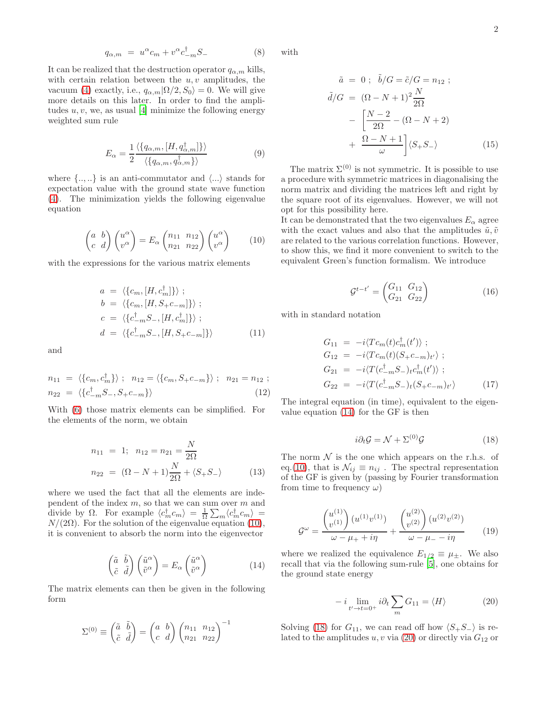$$
q_{\alpha,m} = u^{\alpha} c_m + v^{\alpha} c_{-m}^{\dagger} S_{-}
$$
 (8)

It can be realized that the destruction operator  $q_{\alpha,m}$  kills, with certain relation between the  $u, v$  amplitudes, the vacuum [\(4\)](#page-0-0) exactly, i.e.,  $q_{\alpha,m}|\Omega/2, S_0\rangle = 0$ . We will give more details on this later. In order to find the amplitudes  $u, v$ , we, as usual [\[4\]](#page-4-3) minimize the following energy weighted sum rule

$$
E_{\alpha} = \frac{1}{2} \frac{\langle \{q_{\alpha,m}, [H, q_{\alpha,m}^{\dagger}] \} \rangle}{\langle \{q_{\alpha,m}, q_{\alpha,m}^{\dagger} \} \rangle}
$$
(9)

where  $\{.,.\right\}$  is an anti-commutator and  $\langle...\rangle$  stands for expectation value with the ground state wave function [\(4\)](#page-0-0). The minimization yields the following eigenvalue equation

<span id="page-1-0"></span>
$$
\begin{pmatrix} a & b \\ c & d \end{pmatrix} \begin{pmatrix} u^{\alpha} \\ v^{\alpha} \end{pmatrix} = E_{\alpha} \begin{pmatrix} n_{11} & n_{12} \\ n_{21} & n_{22} \end{pmatrix} \begin{pmatrix} u^{\alpha} \\ v^{\alpha} \end{pmatrix}
$$
 (10)

with the expressions for the various matrix elements

$$
a = \langle \{c_m, [H, c_m^{\dagger}]\}\rangle ;\nb = \langle \{c_m, [H, S+c-m]\}\rangle ;\nc = \langle \{c_{-m}^{\dagger} S_{-}, [H, c_m^{\dagger}]\}\rangle ;\nd = \langle \{c_{-m}^{\dagger} S_{-}, [H, S_{+}c_{-m}]\}\rangle
$$
\n(11)

and

$$
n_{11} = \langle \{c_m, c_m^{\dagger}\} \rangle ; \ n_{12} = \langle \{c_m, S_{+}c_{-m}\} \rangle ; \ n_{21} = n_{12} ;
$$
  

$$
n_{22} = \langle \{c_{-m}^{\dagger}S_{-}, S_{+}c_{-m}\} \rangle
$$
 (12)

With [\(6\)](#page-0-1) those matrix elements can be simplified. For the elements of the norm, we obtain

<span id="page-1-5"></span>
$$
n_{11} = 1; \quad n_{12} = n_{21} = \frac{N}{2\Omega}
$$
  

$$
n_{22} = (\Omega - N + 1)\frac{N}{2\Omega} + \langle S_+ S_- \rangle
$$
 (13)

where we used the fact that all the elements are independent of the index  $m$ , so that we can sum over  $m$  and divide by  $\Omega$ . For example  $\langle c_m^{\dagger} c_m \rangle = \frac{1}{\Omega} \sum_m \langle c_m^{\dagger} c_m \rangle =$  $N/(2\Omega)$ . For the solution of the eigenvalue equation [\(10\)](#page-1-0), it is convenient to absorb the norm into the eigenvector

<span id="page-1-1"></span>
$$
\begin{pmatrix} \tilde{a} & \tilde{b} \\ \tilde{c} & \tilde{d} \end{pmatrix} \begin{pmatrix} \tilde{u}^{\alpha} \\ \tilde{v}^{\alpha} \end{pmatrix} = E_{\alpha} \begin{pmatrix} \tilde{u}^{\alpha} \\ \tilde{v}^{\alpha} \end{pmatrix}
$$
(14)

The matrix elements can then be given in the following form

$$
\Sigma^{(0)} \equiv \begin{pmatrix} \tilde{a} & \tilde{b} \\ \tilde{c} & \tilde{d} \end{pmatrix} = \begin{pmatrix} a & b \\ c & d \end{pmatrix} \begin{pmatrix} n_{11} & n_{12} \\ n_{21} & n_{22} \end{pmatrix}^{-1}
$$

with

$$
\tilde{a} = 0; \quad \tilde{b}/G = \tilde{c}/G = n_{12};
$$

$$
\tilde{d}/G = (\Omega - N + 1)^2 \frac{N}{2\Omega}
$$

$$
- \left[ \frac{N-2}{2\Omega} - (\Omega - N + 2) + \frac{\Omega - N + 1}{\omega} \right] \langle S_+ S_- \rangle \tag{15}
$$

The matrix  $\Sigma^{(0)}$  is not symmetric. It is possible to use a procedure with symmetric matrices in diagonalising the norm matrix and dividing the matrices left and right by the square root of its eigenvalues. However, we will not opt for this possibility here.

It can be demonstrated that the two eigenvalues  $E_{\alpha}$  agree with the exact values and also that the amplitudes  $\tilde{u}, \tilde{v}$ are related to the various correlation functions. However, to show this, we find it more convenient to switch to the equivalent Green's function formalism. We introduce

<span id="page-1-4"></span>
$$
\mathcal{G}^{t-t'} = \begin{pmatrix} G_{11} & G_{12} \\ G_{21} & G_{22} \end{pmatrix}
$$
 (16)

with in standard notation

$$
G_{11} = -i \langle T c_m(t) c_m^{\dagger}(t') \rangle ;
$$
  
\n
$$
G_{12} = -i \langle T c_m(t) (S_+ c_{-m})_{t'} \rangle ;
$$
  
\n
$$
G_{21} = -i \langle T (c_{-m}^{\dagger} S_-)_{t} c_m^{\dagger}(t') \rangle ;
$$
  
\n
$$
G_{22} = -i \langle T (c_{-m}^{\dagger} S_-)_{t} (S_+ c_{-m})_{t'} \rangle
$$
\n(17)

The integral equation (in time), equivalent to the eigenvalue equation [\(14\)](#page-1-1) for the GF is then

<span id="page-1-2"></span>
$$
i\partial_t \mathcal{G} = \mathcal{N} + \Sigma^{(0)} \mathcal{G}
$$
 (18)

The norm  $\mathcal N$  is the one which appears on the r.h.s. of eq.[\(10\)](#page-1-0), that is  $\mathcal{N}_{ij} \equiv n_{ij}$ . The spectral representation of the GF is given by (passing by Fourier transformation from time to frequency  $\omega$ )

$$
\mathcal{G}^{\omega} = \frac{\begin{pmatrix} u^{(1)} \\ v^{(1)} \end{pmatrix} (u^{(1)} v^{(1)})}{\omega - \mu_{+} + i\eta} + \frac{\begin{pmatrix} u^{(2)} \\ v^{(2)} \end{pmatrix} (u^{(2)} v^{(2)})}{\omega - \mu_{-} - i\eta}
$$
(19)

where we realized the equivalence  $E_{1/2} \equiv \mu_{\pm}$ . We also recall that via the following sum-rule [\[5\]](#page-4-4), one obtains for the ground state energy

<span id="page-1-3"></span>
$$
-i\lim_{t'\to t=0^+} i\partial_t \sum_m G_{11} = \langle H \rangle \tag{20}
$$

Solving [\(18\)](#page-1-2) for  $G_{11}$ , we can read off how  $\langle S_+S_-\rangle$  is related to the amplitudes  $u, v$  via  $(20)$  or directly via  $G_{12}$  or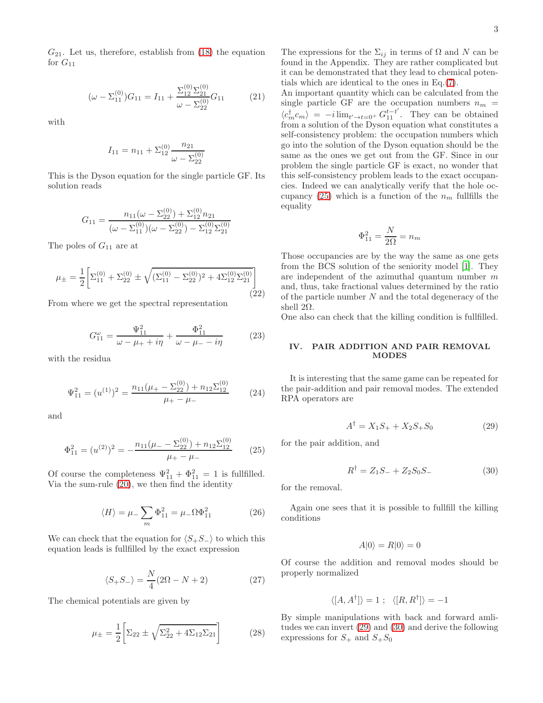$G_{21}$ . Let us, therefore, establish from  $(18)$  the equation for  $G_{11}$ 

<span id="page-2-3"></span>
$$
(\omega - \Sigma_{11}^{(0)})G_{11} = I_{11} + \frac{\Sigma_{12}^{(0)}\Sigma_{21}^{(0)}}{\omega - \Sigma_{22}^{(0)}}G_{11}
$$
 (21)

with

$$
I_{11} = n_{11} + \sum_{12}^{(0)} \frac{n_{21}}{\omega - \sum_{22}^{(0)}}
$$

This is the Dyson equation for the single particle GF. Its solution reads

$$
G_{11} = \frac{n_{11}(\omega - \Sigma_{22}^{(0)}) + \Sigma_{12}^{(0)} n_{21}}{(\omega - \Sigma_{11}^{(0)})(\omega - \Sigma_{22}^{(0)}) - \Sigma_{12}^{(0)}\Sigma_{21}^{(0)}}
$$

The poles of  $G_{11}$  are at

$$
\mu_{\pm} = \frac{1}{2} \bigg[ \Sigma_{11}^{(0)} + \Sigma_{22}^{(0)} \pm \sqrt{(\Sigma_{11}^{(0)} - \Sigma_{22}^{(0)})^2 + 4\Sigma_{12}^{(0)}\Sigma_{21}^{(0)}} \bigg] \tag{22}
$$

From where we get the spectral representation

$$
G_{11}^{\omega} = \frac{\Psi_{11}^{2}}{\omega - \mu_{+} + i\eta} + \frac{\Phi_{11}^{2}}{\omega - \mu_{-} - i\eta}
$$
 (23)

with the residua

$$
\Psi_{11}^2 = (u^{(1)})^2 = \frac{n_{11}(\mu_+ - \Sigma_{22}^{(0)}) + n_{12}\Sigma_{12}^{(0)}}{\mu_+ - \mu_-}
$$
 (24)

and

<span id="page-2-0"></span>
$$
\Phi_{11}^2 = (u^{(2)})^2 = -\frac{n_{11}(\mu_- - \Sigma_{22}^{(0)}) + n_{12}\Sigma_{12}^{(0)}}{\mu_+ - \mu_-}
$$
 (25)

Of course the completeness  $\Psi_{11}^2 + \Phi_{11}^2 = 1$  is fullfilled. Via the sum-rule [\(20\)](#page-1-3), we then find the identity

$$
\langle H \rangle = \mu_- \sum_m \Phi_{11}^2 = \mu_- \Omega \Phi_{11}^2 \tag{26}
$$

We can check that the equation for  $\langle S_+S_-\rangle$  to which this equation leads is fullfilled by the exact expression

<span id="page-2-4"></span>
$$
\langle S_+S_- \rangle = \frac{N}{4}(2\Omega - N + 2) \tag{27}
$$

The chemical potentials are given by

<span id="page-2-5"></span>
$$
\mu_{\pm} = \frac{1}{2} \bigg[ \Sigma_{22} \pm \sqrt{\Sigma_{22}^2 + 4\Sigma_{12}\Sigma_{21}} \bigg] \tag{28}
$$

The expressions for the  $\Sigma_{ij}$  in terms of  $\Omega$  and N can be found in the Appendix. They are rather complicated but it can be demonstrated that they lead to chemical potentials which are identical to the ones in Eq.[\(7\)](#page-0-2).

An important quantity which can be calculated from the single particle GF are the occupation numbers  $n_m$  =  $\langle c_m^{\dagger} c_m \rangle = -i \lim_{t' \to t=0^+} G_{11}^{t-t'}$ . They can be obtained from a solution of the Dyson equation what constitutes a self-consistency problem: the occupation numbers which go into the solution of the Dyson equation should be the same as the ones we get out from the GF. Since in our problem the single particle GF is exact, no wonder that this self-consistency problem leads to the exact occupancies. Indeed we can analytically verify that the hole oc-cupancy [\(25\)](#page-2-0) which is a function of the  $n_m$  fullfills the equality

$$
\Phi_{11}^2 = \frac{N}{2\Omega} = n_m
$$

Those occupancies are by the way the same as one gets from the BCS solution of the seniority model [\[1](#page-4-0)]. They are independent of the azimuthal quantum number  $m$ and, thus, take fractional values determined by the ratio of the particle number  $N$  and the total degeneracy of the shell  $2Ω$ .

One also can check that the killing condition is fullfilled.

### IV. PAIR ADDITION AND PAIR REMOVAL MODES

It is interesting that the same game can be repeated for the pair-addition and pair removal modes. The extended RPA operators are

<span id="page-2-1"></span>
$$
A^{\dagger} = X_1 S_+ + X_2 S_+ S_0 \tag{29}
$$

for the pair addition, and

<span id="page-2-2"></span>
$$
R^{\dagger} = Z_1 S_- + Z_2 S_0 S_- \tag{30}
$$

for the removal.

Again one sees that it is possible to fullfill the killing conditions

$$
A|0\rangle = R|0\rangle = 0
$$

Of course the addition and removal modes should be properly normalized

$$
\langle [A, A^{\dagger}] \rangle = 1 \; ; \; \langle [R, R^{\dagger}] \rangle = -1
$$

By simple manipulations with back and forward amlitudes we can invert [\(29\)](#page-2-1) and [\(30\)](#page-2-2) and derive the following expressions for  $S_+$  and  $S_+S_0$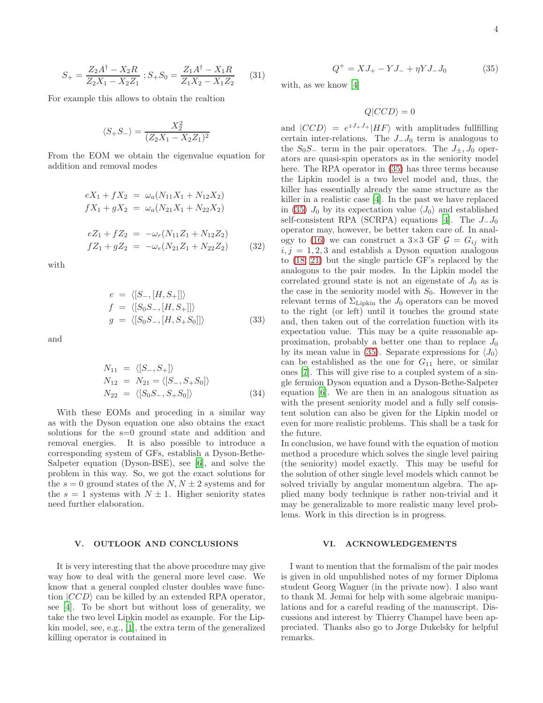$$
S_{+} = \frac{Z_2 A^{\dagger} - X_2 R}{Z_2 X_1 - X_2 Z_1} ; S_{+} S_0 = \frac{Z_1 A^{\dagger} - X_1 R}{Z_1 X_2 - X_1 Z_2}
$$
(31)

For example this allows to obtain the realtion

$$
\langle S_+S_-\rangle = \frac{X_2^2}{(Z_2X_1 - X_2Z_1)^2}
$$

From the EOM we obtain the eigenvalue equation for addition and removal modes

$$
eX_1 + fX_2 = \omega_a (N_{11}X_1 + N_{12}X_2)
$$
  
\n
$$
fX_1 + gX_2 = \omega_a (N_{21}X_1 + N_{22}X_2)
$$
  
\n
$$
eZ_1 + fZ_2 = -\omega_r (N_{11}Z_1 + N_{12}Z_2)
$$
  
\n
$$
fZ_1 + gZ_2 = -\omega_r (N_{21}Z_1 + N_{22}Z_2)
$$
 (32)

with

$$
e = \langle [S_-, [H, S_+]] \rangle f = \langle [S_0 S_-, [H, S_+]] \rangle g = \langle [S_0 S_-, [H, S_+ S_0]] \rangle
$$
(33)

and

$$
N_{11} = \langle [S_-, S_+] \rangle
$$
  
\n
$$
N_{12} = N_{21} = \langle [S_-, S_+ S_0] \rangle
$$
  
\n
$$
N_{22} = \langle [S_0 S_-, S_+ S_0] \rangle
$$
\n(34)

With these EOMs and proceding in a similar way as with the Dyson equation one also obtains the exact solutions for the s=0 ground state and addition and removal energies. It is also possible to introduce a corresponding system of GFs, establish a Dyson-Bethe-Salpeter equation (Dyson-BSE), see [\[6\]](#page-4-5), and solve the problem in this way. So, we got the exact solutions for the  $s = 0$  ground states of the  $N, N \pm 2$  systems and for the  $s = 1$  systems with  $N \pm 1$ . Higher seniority states need further elaboration.

## V. OUTLOOK AND CONCLUSIONS

It is very interesting that the above procedure may give way how to deal with the general more level case. We know that a general coupled cluster doubles wave function  $|CCD\rangle$  can be killed by an extended RPA operator, see [\[4\]](#page-4-3). To be short but without loss of generality, we take the two level Lipkin model as example. For the Lipkin model, see, e.g., [\[1](#page-4-0)], the extra term of the generalized killing operator is contained in

<span id="page-3-0"></span>
$$
Q^{+} = XJ_{+} - YJ_{-} + \eta YJ_{-}J_{0}
$$
 (35)

with, as we know [\[4](#page-4-3)]

$$
Q|CCD\rangle = 0
$$

and  $|CCD\rangle = e^{zJ_{+}J_{+}}|HF\rangle$  with amplitudes fullfilling certain inter-relations. The  $J_$ I<sub>0</sub> term is analogous to the  $S_0S_$  term in the pair operators. The  $J_{\pm}, J_0$  operators are quasi-spin operators as in the seniority model here. The RPA operator in [\(35\)](#page-3-0) has three terms because the Lipkin model is a two level model and, thus, the killer has essentially already the same structure as the killer in a realistic case [\[4\]](#page-4-3). In the past we have replaced in [\(35\)](#page-3-0)  $J_0$  by its expectation value  $\langle J_0 \rangle$  and established self-consistent RPA (SCRPA) equations [\[4\]](#page-4-3). The  $J_–J_0$ operator may, however, be better taken care of. In anal-ogy to [\(16\)](#page-1-4) we can construct a  $3\times3$  GF  $\mathcal{G} = G_{ij}$  with  $i, j = 1, 2, 3$  and establish a Dyson equation analogous to [\(18,](#page-1-2) [21\)](#page-2-3) but the single particle GF's replaced by the analogons to the pair modes. In the Lipkin model the correlated ground state is not an eigenstate of  $J_0$  as is the case in the seniority model with  $S_0$ . However in the relevant terms of  $\Sigma_{\text{Lipkin}}$  the  $J_0$  operators can be moved to the right (or left) until it touches the ground state and, then taken out of the correlation function with its expectation value. This may be a quite reasonable approximation, probably a better one than to replace  $J_0$ by its mean value in [\(35\)](#page-3-0). Separate expressions for  $\langle J_0 \rangle$ can be established as the one for  $G_{11}$  here, or similar ones [\[7\]](#page-4-6). This will give rise to a coupled system of a single fermion Dyson equation and a Dyson-Bethe-Salpeter equation [\[6](#page-4-5)]. We are then in an analogous situation as with the present seniority model and a fully self consistent solution can also be given for the Lipkin model or even for more realistic problems. This shall be a task for the future.

In conclusion, we have found with the equation of motion method a procedure which solves the single level pairing (the seniority) model exactly. This may be useful for the solution of other single level models which cannot be solved trivially by angular momentum algebra. The applied many body technique is rather non-trivial and it may be generalizable to more realistic many level problems. Work in this direction is in progress.

#### VI. ACKNOWLEDGEMENTS

I want to mention that the formalism of the pair modes is given in old unpublished notes of my former Diploma student Georg Wagner (in the private now). I also want to thank M. Jemai for help with some algebraic manipulations and for a careful reading of the manuscript. Discussions and interest by Thierry Champel have been appreciated. Thanks also go to Jorge Dukelsky for helpful remarks.